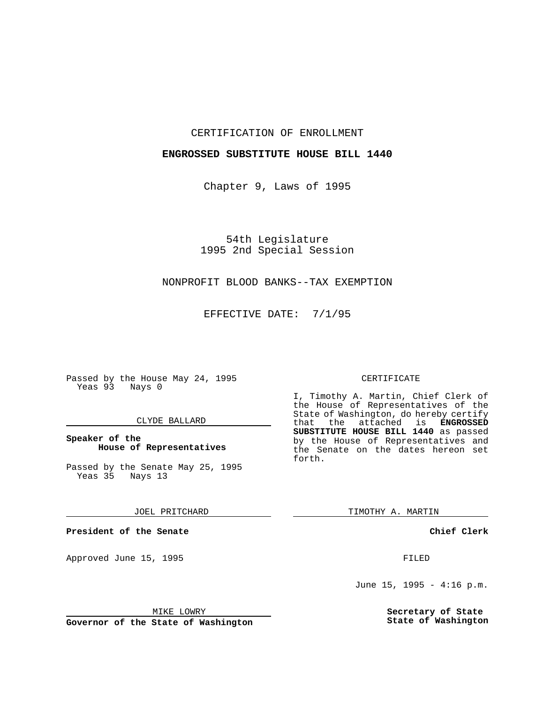## CERTIFICATION OF ENROLLMENT

## **ENGROSSED SUBSTITUTE HOUSE BILL 1440**

Chapter 9, Laws of 1995

54th Legislature 1995 2nd Special Session

## NONPROFIT BLOOD BANKS--TAX EXEMPTION

EFFECTIVE DATE: 7/1/95

Passed by the House May 24, 1995 Yeas 93 Nays 0

## CLYDE BALLARD

## **Speaker of the House of Representatives**

Passed by the Senate May 25, 1995 Yeas 35 Nays 13

JOEL PRITCHARD

**President of the Senate**

Approved June 15, 1995 FILED

#### MIKE LOWRY

**Governor of the State of Washington**

#### CERTIFICATE

I, Timothy A. Martin, Chief Clerk of the House of Representatives of the State of Washington, do hereby certify that the attached is **ENGROSSED SUBSTITUTE HOUSE BILL 1440** as passed by the House of Representatives and the Senate on the dates hereon set forth.

TIMOTHY A. MARTIN

**Chief Clerk**

June 15, 1995 - 4:16 p.m.

**Secretary of State State of Washington**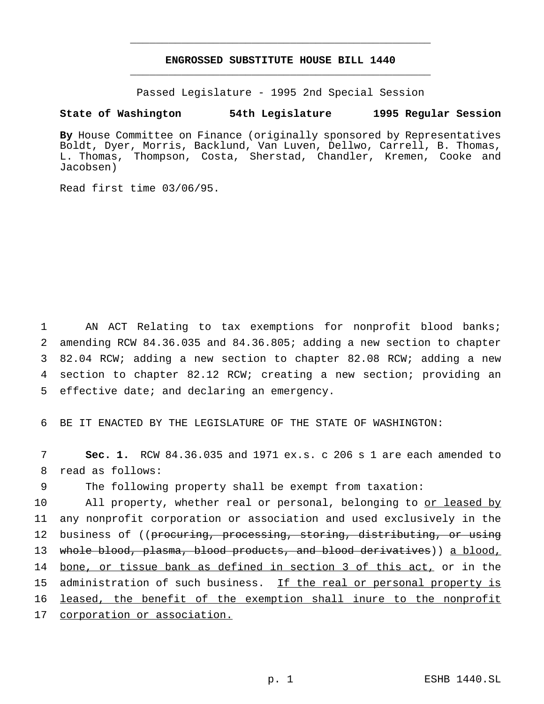# **ENGROSSED SUBSTITUTE HOUSE BILL 1440** \_\_\_\_\_\_\_\_\_\_\_\_\_\_\_\_\_\_\_\_\_\_\_\_\_\_\_\_\_\_\_\_\_\_\_\_\_\_\_\_\_\_\_\_\_\_\_

\_\_\_\_\_\_\_\_\_\_\_\_\_\_\_\_\_\_\_\_\_\_\_\_\_\_\_\_\_\_\_\_\_\_\_\_\_\_\_\_\_\_\_\_\_\_\_

Passed Legislature - 1995 2nd Special Session

## **State of Washington 54th Legislature 1995 Regular Session**

**By** House Committee on Finance (originally sponsored by Representatives Boldt, Dyer, Morris, Backlund, Van Luven, Dellwo, Carrell, B. Thomas, L. Thomas, Thompson, Costa, Sherstad, Chandler, Kremen, Cooke and Jacobsen)

Read first time 03/06/95.

 AN ACT Relating to tax exemptions for nonprofit blood banks; amending RCW 84.36.035 and 84.36.805; adding a new section to chapter 82.04 RCW; adding a new section to chapter 82.08 RCW; adding a new section to chapter 82.12 RCW; creating a new section; providing an effective date; and declaring an emergency.

6 BE IT ENACTED BY THE LEGISLATURE OF THE STATE OF WASHINGTON:

7 **Sec. 1.** RCW 84.36.035 and 1971 ex.s. c 206 s 1 are each amended to 8 read as follows:

9 The following property shall be exempt from taxation:

10 All property, whether real or personal, belonging to or leased by 11 any nonprofit corporation or association and used exclusively in the 12 business of ((procuring, processing, storing, distributing, or using 13 whole blood, plasma, blood products, and blood derivatives)) a blood, 14 bone, or tissue bank as defined in section 3 of this act, or in the 15 administration of such business. If the real or personal property is 16 leased, the benefit of the exemption shall inure to the nonprofit 17 corporation or association.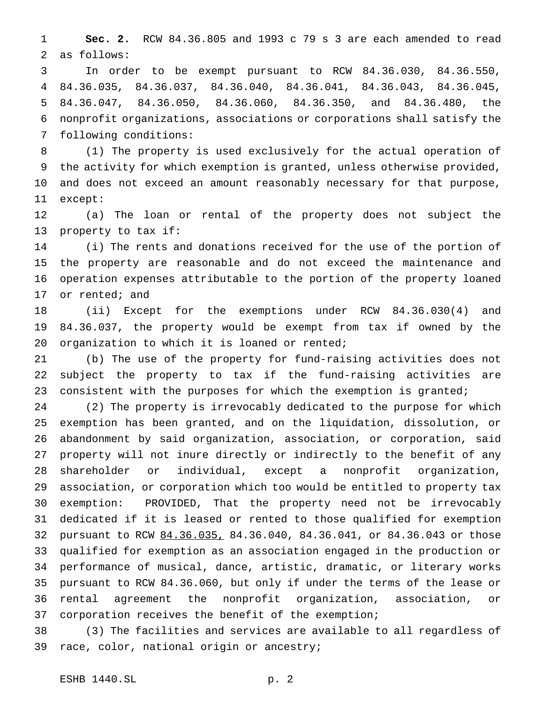**Sec. 2.** RCW 84.36.805 and 1993 c 79 s 3 are each amended to read as follows:

 In order to be exempt pursuant to RCW 84.36.030, 84.36.550, 84.36.035, 84.36.037, 84.36.040, 84.36.041, 84.36.043, 84.36.045, 84.36.047, 84.36.050, 84.36.060, 84.36.350, and 84.36.480, the nonprofit organizations, associations or corporations shall satisfy the following conditions:

 (1) The property is used exclusively for the actual operation of the activity for which exemption is granted, unless otherwise provided, and does not exceed an amount reasonably necessary for that purpose, except:

 (a) The loan or rental of the property does not subject the property to tax if:

 (i) The rents and donations received for the use of the portion of the property are reasonable and do not exceed the maintenance and operation expenses attributable to the portion of the property loaned or rented; and

 (ii) Except for the exemptions under RCW 84.36.030(4) and 84.36.037, the property would be exempt from tax if owned by the organization to which it is loaned or rented;

 (b) The use of the property for fund-raising activities does not subject the property to tax if the fund-raising activities are 23 consistent with the purposes for which the exemption is granted;

 (2) The property is irrevocably dedicated to the purpose for which exemption has been granted, and on the liquidation, dissolution, or abandonment by said organization, association, or corporation, said property will not inure directly or indirectly to the benefit of any shareholder or individual, except a nonprofit organization, association, or corporation which too would be entitled to property tax exemption: PROVIDED, That the property need not be irrevocably dedicated if it is leased or rented to those qualified for exemption 32 pursuant to RCW 84.36.035, 84.36.040, 84.36.041, or 84.36.043 or those qualified for exemption as an association engaged in the production or performance of musical, dance, artistic, dramatic, or literary works pursuant to RCW 84.36.060, but only if under the terms of the lease or rental agreement the nonprofit organization, association, or corporation receives the benefit of the exemption;

 (3) The facilities and services are available to all regardless of race, color, national origin or ancestry;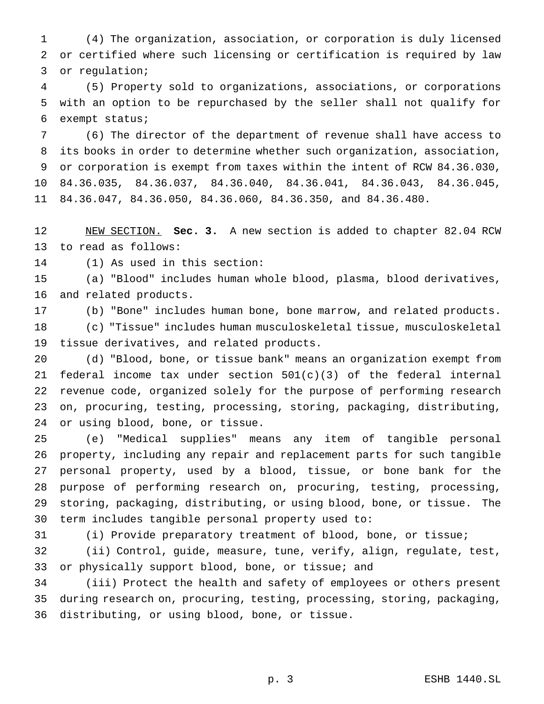(4) The organization, association, or corporation is duly licensed or certified where such licensing or certification is required by law or regulation;

 (5) Property sold to organizations, associations, or corporations with an option to be repurchased by the seller shall not qualify for exempt status;

 (6) The director of the department of revenue shall have access to its books in order to determine whether such organization, association, or corporation is exempt from taxes within the intent of RCW 84.36.030, 84.36.035, 84.36.037, 84.36.040, 84.36.041, 84.36.043, 84.36.045, 84.36.047, 84.36.050, 84.36.060, 84.36.350, and 84.36.480.

 NEW SECTION. **Sec. 3.** A new section is added to chapter 82.04 RCW to read as follows:

(1) As used in this section:

 (a) "Blood" includes human whole blood, plasma, blood derivatives, and related products.

 (b) "Bone" includes human bone, bone marrow, and related products. (c) "Tissue" includes human musculoskeletal tissue, musculoskeletal tissue derivatives, and related products.

 (d) "Blood, bone, or tissue bank" means an organization exempt from 21 federal income tax under section  $501(c)(3)$  of the federal internal revenue code, organized solely for the purpose of performing research on, procuring, testing, processing, storing, packaging, distributing, or using blood, bone, or tissue.

 (e) "Medical supplies" means any item of tangible personal property, including any repair and replacement parts for such tangible personal property, used by a blood, tissue, or bone bank for the purpose of performing research on, procuring, testing, processing, storing, packaging, distributing, or using blood, bone, or tissue. The term includes tangible personal property used to:

(i) Provide preparatory treatment of blood, bone, or tissue;

 (ii) Control, guide, measure, tune, verify, align, regulate, test, 33 or physically support blood, bone, or tissue; and

 (iii) Protect the health and safety of employees or others present during research on, procuring, testing, processing, storing, packaging, distributing, or using blood, bone, or tissue.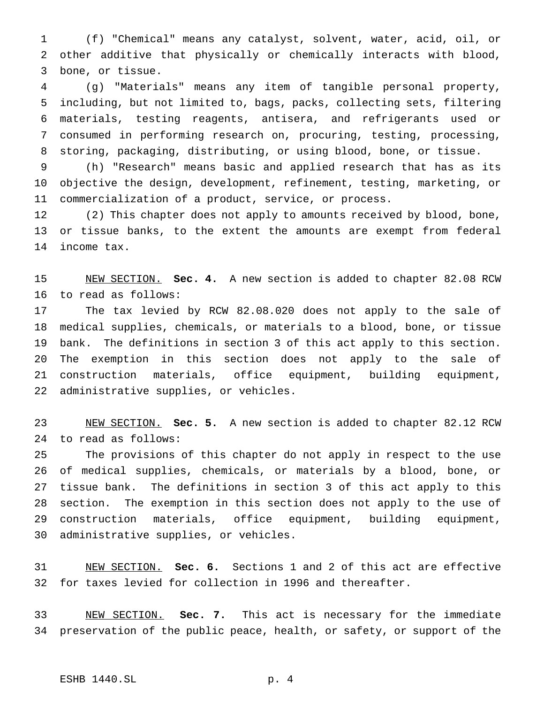(f) "Chemical" means any catalyst, solvent, water, acid, oil, or other additive that physically or chemically interacts with blood, bone, or tissue.

 (g) "Materials" means any item of tangible personal property, including, but not limited to, bags, packs, collecting sets, filtering materials, testing reagents, antisera, and refrigerants used or consumed in performing research on, procuring, testing, processing, storing, packaging, distributing, or using blood, bone, or tissue.

 (h) "Research" means basic and applied research that has as its objective the design, development, refinement, testing, marketing, or commercialization of a product, service, or process.

 (2) This chapter does not apply to amounts received by blood, bone, or tissue banks, to the extent the amounts are exempt from federal income tax.

 NEW SECTION. **Sec. 4.** A new section is added to chapter 82.08 RCW to read as follows:

 The tax levied by RCW 82.08.020 does not apply to the sale of medical supplies, chemicals, or materials to a blood, bone, or tissue bank. The definitions in section 3 of this act apply to this section. The exemption in this section does not apply to the sale of construction materials, office equipment, building equipment, administrative supplies, or vehicles.

 NEW SECTION. **Sec. 5.** A new section is added to chapter 82.12 RCW to read as follows:

 The provisions of this chapter do not apply in respect to the use of medical supplies, chemicals, or materials by a blood, bone, or tissue bank. The definitions in section 3 of this act apply to this section. The exemption in this section does not apply to the use of construction materials, office equipment, building equipment, administrative supplies, or vehicles.

 NEW SECTION. **Sec. 6.** Sections 1 and 2 of this act are effective for taxes levied for collection in 1996 and thereafter.

 NEW SECTION. **Sec. 7.** This act is necessary for the immediate preservation of the public peace, health, or safety, or support of the

# ESHB 1440.SL p. 4